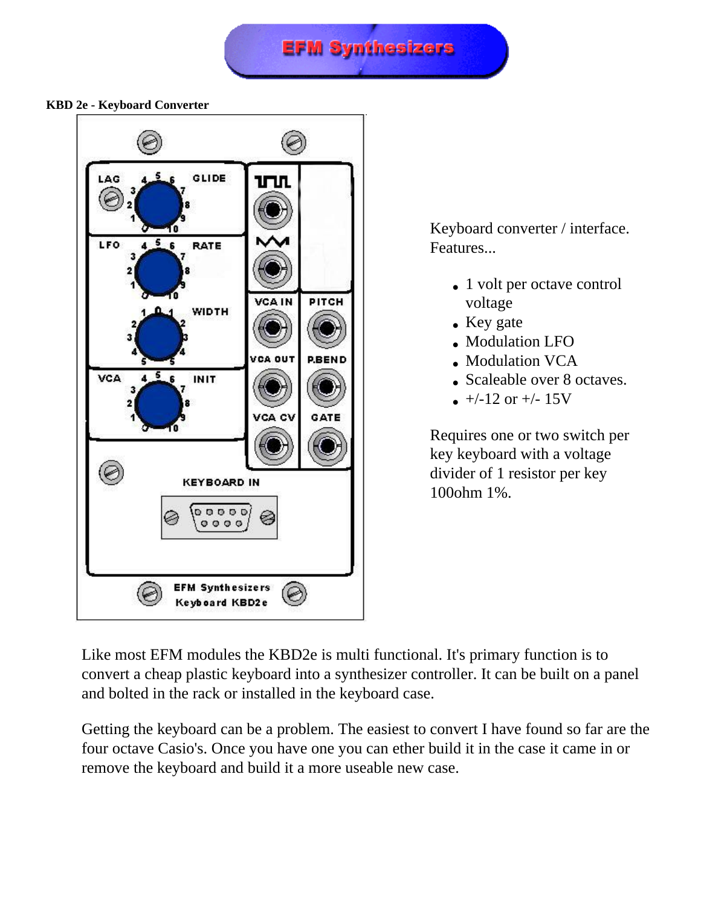**EFM Synthesizers** 

## **KBD 2e - Keyboard Converter**



Keyboard converter / interface. Features...

- 1 volt per octave control voltage
- Key gate
- Modulation LFO
- Modulation VCA
- Scaleable over 8 octaves.
- $\bullet$  +/-12 or +/- 15V

Requires one or two switch per key keyboard with a voltage divider of 1 resistor per key 100ohm 1%.

Like most EFM modules the KBD2e is multi functional. It's primary function is to convert a cheap plastic keyboard into a synthesizer controller. It can be built on a panel and bolted in the rack or installed in the keyboard case.

Getting the keyboard can be a problem. The easiest to convert I have found so far are the four octave Casio's. Once you have one you can ether build it in the case it came in or remove the keyboard and build it a more useable new case.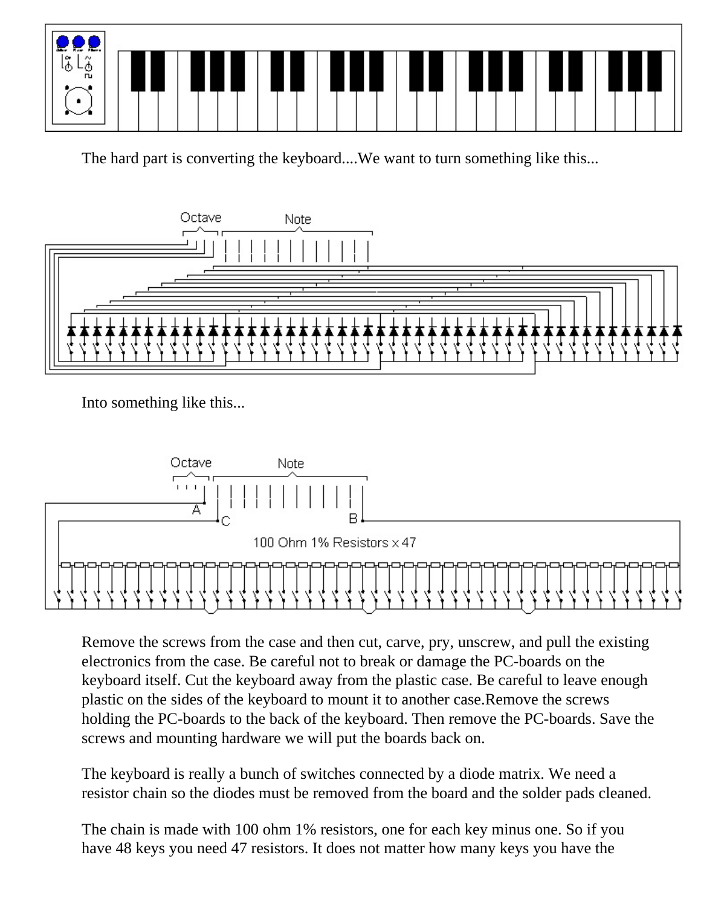

The hard part is converting the keyboard....We want to turn something like this...



Into something like this...



Remove the screws from the case and then cut, carve, pry, unscrew, and pull the existing electronics from the case. Be careful not to break or damage the PC-boards on the keyboard itself. Cut the keyboard away from the plastic case. Be careful to leave enough plastic on the sides of the keyboard to mount it to another case.Remove the screws holding the PC-boards to the back of the keyboard. Then remove the PC-boards. Save the screws and mounting hardware we will put the boards back on.

The keyboard is really a bunch of switches connected by a diode matrix. We need a resistor chain so the diodes must be removed from the board and the solder pads cleaned.

The chain is made with 100 ohm 1% resistors, one for each key minus one. So if you have 48 keys you need 47 resistors. It does not matter how many keys you have the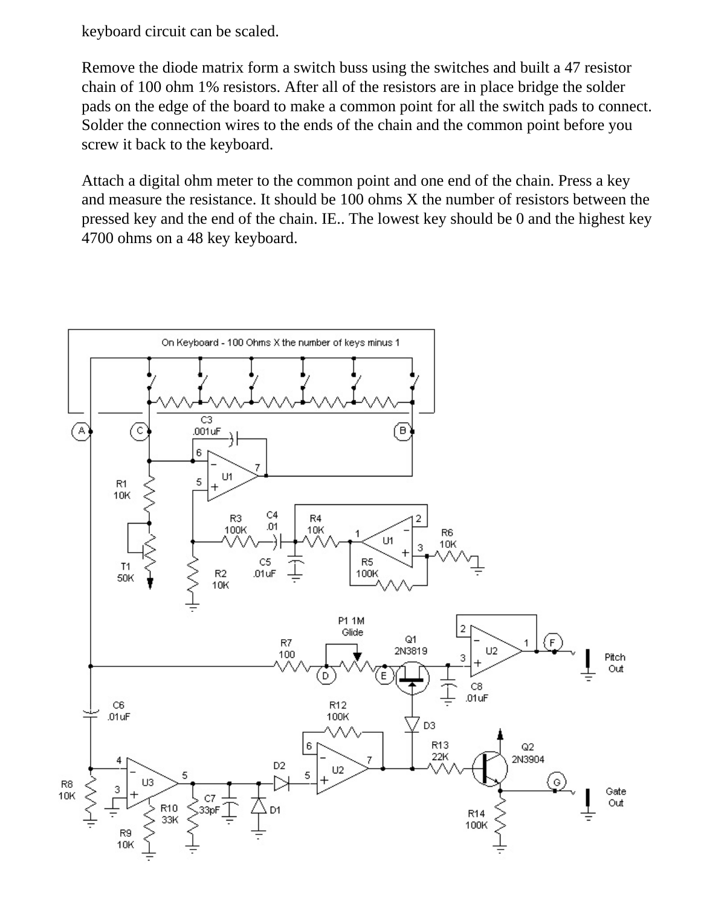keyboard circuit can be scaled.

Remove the diode matrix form a switch buss using the switches and built a 47 resistor chain of 100 ohm 1% resistors. After all of the resistors are in place bridge the solder pads on the edge of the board to make a common point for all the switch pads to connect. Solder the connection wires to the ends of the chain and the common point before you screw it back to the keyboard.

Attach a digital ohm meter to the common point and one end of the chain. Press a key and measure the resistance. It should be 100 ohms X the number of resistors between the pressed key and the end of the chain. IE.. The lowest key should be 0 and the highest key 4700 ohms on a 48 key keyboard.

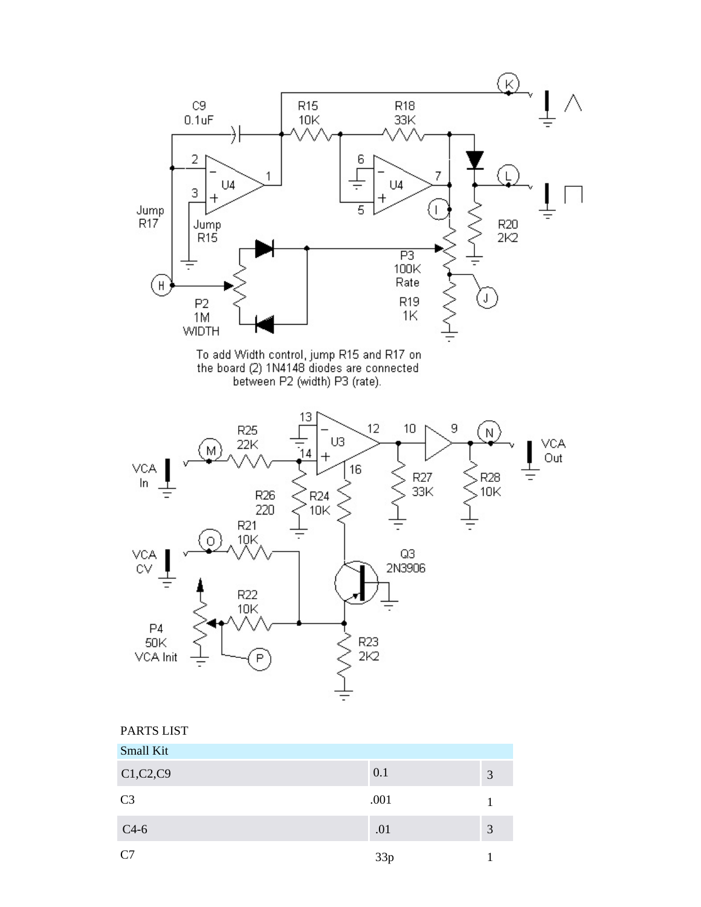

| C1, C2, C9     | 0.1  |  |
|----------------|------|--|
| C <sub>3</sub> | .001 |  |
| $C4-6$         | .01  |  |
| C7             | 33p  |  |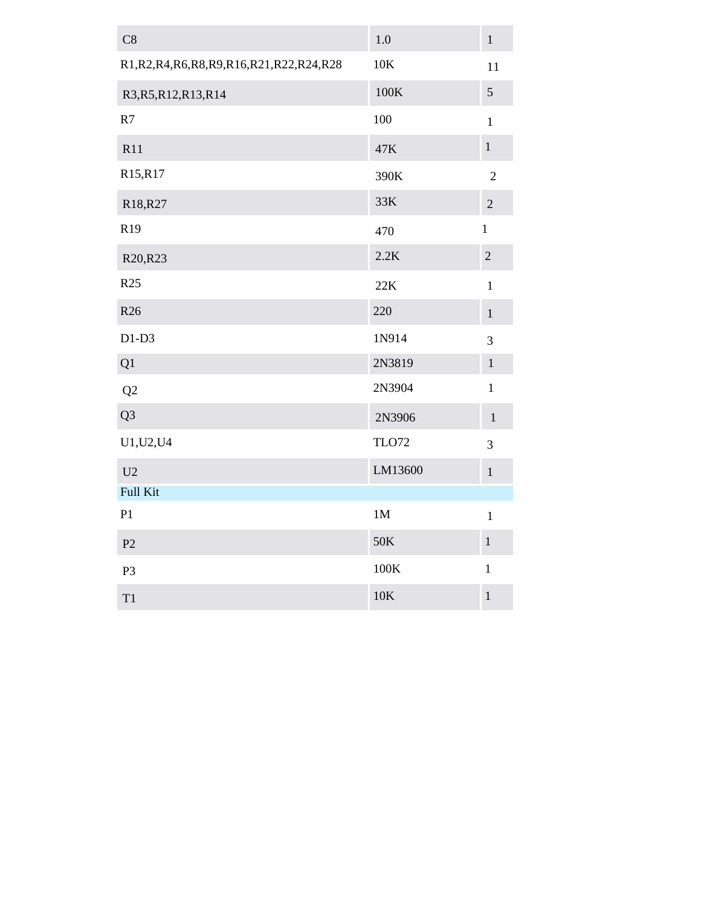| C8                                              | 1.0             | $\,1$          |
|-------------------------------------------------|-----------------|----------------|
| R1, R2, R4, R6, R8, R9, R16, R21, R22, R24, R28 | 10K             | 11             |
| R3, R5, R12, R13, R14                           | $100\mathrm{K}$ | $\sqrt{5}$     |
| R7                                              | 100             | $\mathbf{1}$   |
| R11                                             | 47K             | $\mathbf{1}$   |
| R15,R17                                         | 390K            | $\overline{2}$ |
| R18, R27                                        | 33K             | $\sqrt{2}$     |
| R19                                             | 470             | $\mathbf{1}$   |
| R20, R23                                        | 2.2K            | $\sqrt{2}$     |
| R25                                             | 22K             | $\mathbf{1}$   |
| R <sub>26</sub>                                 | 220             | $\,1\,$        |
| $D1-D3$                                         | 1N914           | $\overline{3}$ |
| Q1                                              | 2N3819          | $\mathbf{1}$   |
| Q2                                              | 2N3904          | $\mathbf{1}$   |
| Q <sub>3</sub>                                  | 2N3906          | $\mathbf{1}$   |
| U1, U2, U4                                      | <b>TLO72</b>    | 3              |
| U2                                              | LM13600         | $\mathbf 1$    |
| Full Kit                                        |                 |                |
| P1                                              | 1M              | $\mathbf 1$    |
| P <sub>2</sub>                                  | 50K             | $\mathbf{1}$   |
| P <sub>3</sub>                                  | 100K            | $\mathbf{1}$   |
| T1                                              | $10\mathrm{K}$  | $\mathbf 1$    |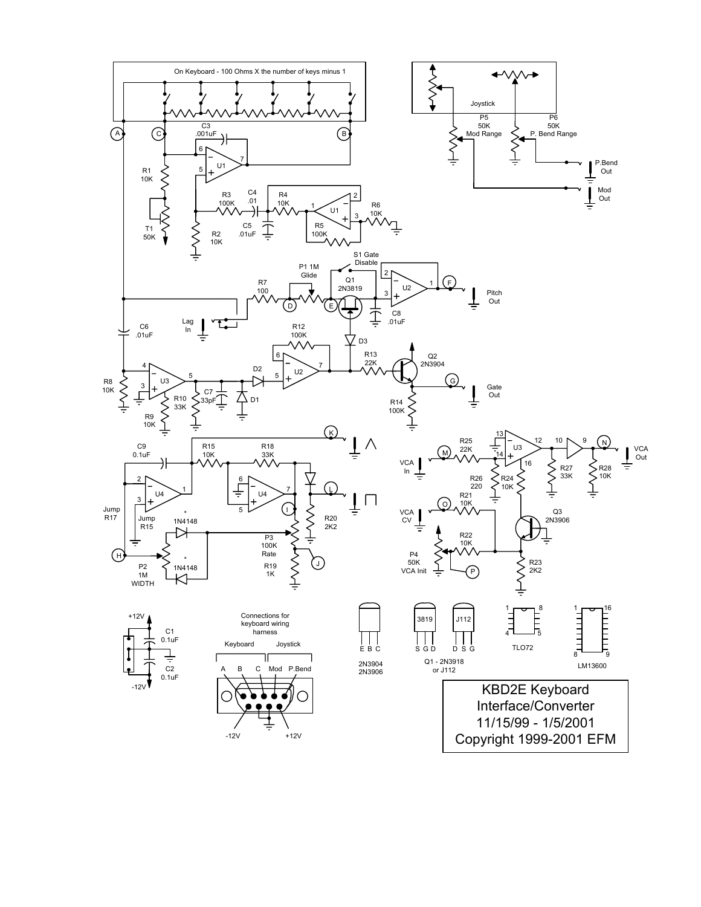